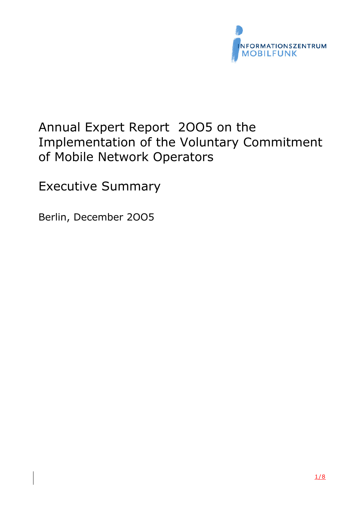

# Annual Expert Report 2OO5 on the Implementation of the Voluntary Commitment of Mobile Network Operators

Executive Summary

Berlin, December 2OO5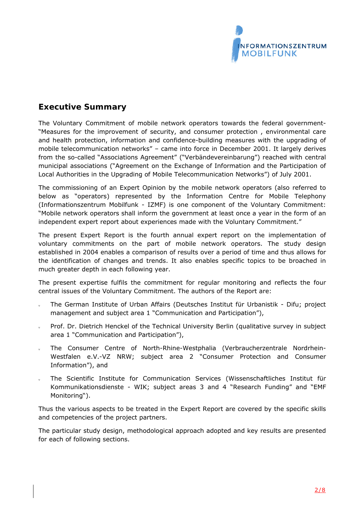

# **Executive Summary**

The Voluntary Commitment of mobile network operators towards the federal government- "Measures for the improvement of security, and consumer protection , environmental care and health protection, information and confidence-building measures with the upgrading of mobile telecommunication networks" – came into force in December 2001. It largely derives from the so-called "Associations Agreement" ("*Verbändevereinbarung*") reached with central municipal associations ("Agreement on the Exchange of Information and the Participation of Local Authorities in the Upgrading of Mobile Telecommunication Networks") of July 2001.

The commissioning of an Expert Opinion by the mobile network operators (also referred to below as "operators) represented by the Information Centre for Mobile Telephony (Informationszentrum Mobilfunk - IZMF) is one component of the Voluntary Commitment: "Mobile network operators shall inform the government at least once a year in the form of an independent expert report about experiences made with the Voluntary Commitment."

The present Expert Report is the fourth annual expert report on the implementation of voluntary commitments on the part of mobile network operators. The study design established in 2004 enables a comparison of results over a period of time and thus allows for the identification of changes and trends. It also enables specific topics to be broached in much greater depth in each following year.

The present expertise fulfils the commitment for regular monitoring and reflects the four central issues of the Voluntary Commitment. The authors of the Report are:

- The German Institute of Urban Affairs (Deutsches Institut für Urbanistik Difu; project management and subject area 1 "Communication and Participation"),
- Prof. Dr. Dietrich Henckel of the Technical University Berlin (qualitative survey in subject area 1 "Communication and Participation"),
- The Consumer Centre of North-Rhine-Westphalia (Verbraucherzentrale Nordrhein-Westfalen e.V.-VZ NRW; subject area 2 "Consumer Protection and Consumer Information"), and
- The Scientific Institute for Communication Services (Wissenschaftliches Institut für Kommunikationsdienste - WIK; subject areas 3 and 4 "Research Funding" and "EMF Monitoring").

Thus the various aspects to be treated in the Expert Report are covered by the specific skills and competencies of the project partners.

The particular study design, methodological approach adopted and key results are presented for each of following sections.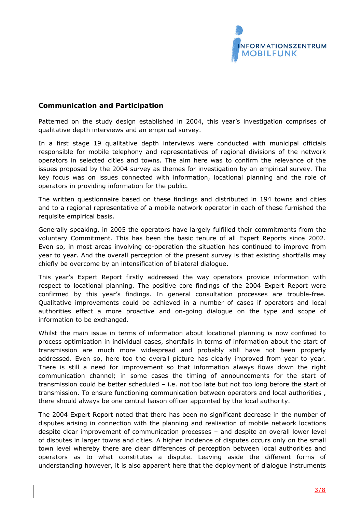

#### **Communication and Participation**

Patterned on the study design established in 2004, this year's investigation comprises of qualitative depth interviews and an empirical survey.

In a first stage 19 qualitative depth interviews were conducted with municipal officials responsible for mobile telephony and representatives of regional divisions of the network operators in selected cities and towns. The aim here was to confirm the relevance of the issues proposed by the 2004 survey as themes for investigation by an empirical survey. The key focus was on issues connected with information, locational planning and the role of operators in providing information for the public.

The written questionnaire based on these findings and distributed in 194 towns and cities and to a regional representative of a mobile network operator in each of these furnished the requisite empirical basis.

Generally speaking, in 2005 the operators have largely fulfilled their commitments from the voluntary Commitment. This has been the basic tenure of all Expert Reports since 2002. Even so, in most areas involving co-operation the situation has continued to improve from year to year. And the overall perception of the present survey is that existing shortfalls may chiefly be overcome by an intensification of bilateral dialogue.

This year's Expert Report firstly addressed the way operators provide information with respect to locational planning. The positive core findings of the 2004 Expert Report were confirmed by this year's findings. In general consultation processes are trouble-free. Qualitative improvements could be achieved in a number of cases if operators and local authorities effect a more proactive and on-going dialogue on the type and scope of information to be exchanged.

Whilst the main issue in terms of information about locational planning is now confined to process optimisation in individual cases, shortfalls in terms of information about the start of transmission are much more widespread and probably still have not been properly addressed. Even so, here too the overall picture has clearly improved from year to year. There is still a need for improvement so that information always flows down the right communication channel; in some cases the timing of announcements for the start of transmission could be better scheduled – i.e. not too late but not too long before the start of transmission. To ensure functioning communication between operators and local authorities , there should always be one central liaison officer appointed by the local authority.

The 2004 Expert Report noted that there has been no significant decrease in the number of disputes arising in connection with the planning and realisation of mobile network locations despite clear improvement of communication processes – and despite an overall lower level of disputes in larger towns and cities. A higher incidence of disputes occurs only on the small town level whereby there are clear differences of perception between local authorities and operators as to what constitutes a dispute. Leaving aside the different forms of understanding however, it is also apparent here that the deployment of dialogue instruments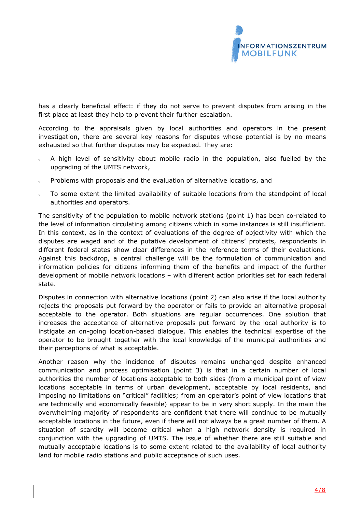

has a clearly beneficial effect: if they do not serve to prevent disputes from arising in the first place at least they help to prevent their further escalation.

According to the appraisals given by local authorities and operators in the present investigation, there are several key reasons for disputes whose potential is by no means exhausted so that further disputes may be expected. They are:

- A high level of sensitivity about mobile radio in the population, also fuelled by the upgrading of the UMTS network,
- Problems with proposals and the evaluation of alternative locations, and
- To some extent the limited availability of suitable locations from the standpoint of local authorities and operators.

The sensitivity of the population to mobile network stations (point 1) has been co-related to the level of information circulating among citizens which in some instances is still insufficient. In this context, as in the context of evaluations of the degree of objectivity with which the disputes are waged and of the putative development of citizens' protests, respondents in different federal states show clear differences in the reference terms of their evaluations. Against this backdrop, a central challenge will be the formulation of communication and information policies for citizens informing them of the benefits and impact of the further development of mobile network locations – with different action priorities set for each federal state.

Disputes in connection with alternative locations (point 2) can also arise if the local authority rejects the proposals put forward by the operator or fails to provide an alternative proposal acceptable to the operator. Both situations are regular occurrences. One solution that increases the acceptance of alternative proposals put forward by the local authority is to instigate an on-going location-based dialogue. This enables the technical expertise of the operator to be brought together with the local knowledge of the municipal authorities and their perceptions of what is acceptable.

Another reason why the incidence of disputes remains unchanged despite enhanced communication and process optimisation (point 3) is that in a certain number of local authorities the number of locations acceptable to both sides (from a municipal point of view locations acceptable in terms of urban development, acceptable by local residents, and imposing no limitations on "critical" facilities; from an operator's point of view locations that are technically and economically feasible) appear to be in very short supply. In the main the overwhelming majority of respondents are confident that there will continue to be mutually acceptable locations in the future, even if there will not always be a great number of them. A situation of scarcity will become critical when a high network density is required in conjunction with the upgrading of UMTS. The issue of whether there are still suitable and mutually acceptable locations is to some extent related to the availability of local authority land for mobile radio stations and public acceptance of such uses.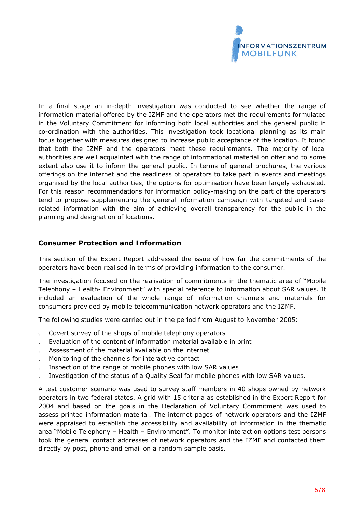

In a final stage an in-depth investigation was conducted to see whether the range of information material offered by the IZMF and the operators met the requirements formulated in the Voluntary Commitment for informing both local authorities and the general public in co-ordination with the authorities. This investigation took locational planning as its main focus together with measures designed to increase public acceptance of the location. It found that both the IZMF and the operators meet these requirements. The majority of local authorities are well acquainted with the range of informational material on offer and to some extent also use it to inform the general public. In terms of general brochures, the various offerings on the internet and the readiness of operators to take part in events and meetings organised by the local authorities, the options for optimisation have been largely exhausted. For this reason recommendations for information policy-making on the part of the operators tend to propose supplementing the general information campaign with targeted and caserelated information with the aim of achieving overall transparency for the public in the planning and designation of locations.

## **Consumer Protection and Information**

This section of the Expert Report addressed the issue of how far the commitments of the operators have been realised in terms of providing information to the consumer.

The investigation focused on the realisation of commitments in the thematic area of "Mobile Telephony – Health- Environment" with special reference to information about SAR values. It included an evaluation of the whole range of information channels and materials for consumers provided by mobile telecommunication network operators and the IZMF.

The following studies were carried out in the period from August to November 2005:

- Covert survey of the shops of mobile telephony operators
- Evaluation of the content of information material available in print
- Assessment of the material available on the internet
- Monitoring of the channels for interactive contact
- Inspection of the range of mobile phones with low SAR values
- $v =$  Investigation of the status of a Quality Seal for mobile phones with low SAR values.

A test customer scenario was used to survey staff members in 40 shops owned by network operators in two federal states. A grid with 15 criteria as established in the Expert Report for 2004 and based on the goals in the Declaration of Voluntary Commitment was used to assess printed information material. The internet pages of network operators and the IZMF were appraised to establish the accessibility and availability of information in the thematic area "Mobile Telephony – Health – Environment". To monitor interaction options test persons took the general contact addresses of network operators and the IZMF and contacted them directly by post, phone and email on a random sample basis.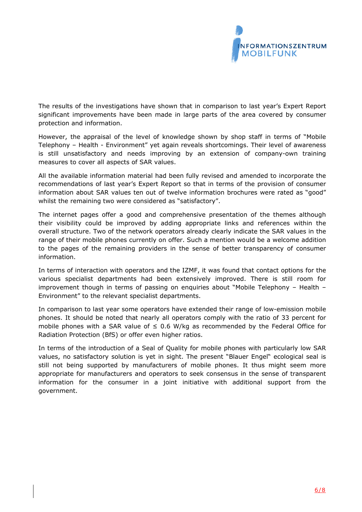

The results of the investigations have shown that in comparison to last year's Expert Report significant improvements have been made in large parts of the area covered by consumer protection and information.

However, the appraisal of the level of knowledge shown by shop staff in terms of "Mobile Telephony – Health - Environment" yet again reveals shortcomings. Their level of awareness is still unsatisfactory and needs improving by an extension of company-own training measures to cover all aspects of SAR values.

All the available information material had been fully revised and amended to incorporate the recommendations of last year's Expert Report so that in terms of the provision of consumer information about SAR values ten out of twelve information brochures were rated as "good" whilst the remaining two were considered as "satisfactory".

The internet pages offer a good and comprehensive presentation of the themes although their visibility could be improved by adding appropriate links and references within the overall structure. Two of the network operators already clearly indicate the SAR values in the range of their mobile phones currently on offer. Such a mention would be a welcome addition to the pages of the remaining providers in the sense of better transparency of consumer information.

In terms of interaction with operators and the IZMF, it was found that contact options for the various specialist departments had been extensively improved. There is still room for improvement though in terms of passing on enquiries about "Mobile Telephony – Health – Environment" to the relevant specialist departments.

In comparison to last year some operators have extended their range of low-emission mobile phones. It should be noted that nearly all operators comply with the ratio of 33 percent for mobile phones with a SAR value of  $\leq$  0.6 W/kg as recommended by the Federal Office for Radiation Protection (BfS) or offer even higher ratios.

In terms of the introduction of a Seal of Quality for mobile phones with particularly low SAR values, no satisfactory solution is yet in sight. The present "Blauer Engel" ecological seal is still not being supported by manufacturers of mobile phones. It thus might seem more appropriate for manufacturers and operators to seek consensus in the sense of transparent information for the consumer in a joint initiative with additional support from the government.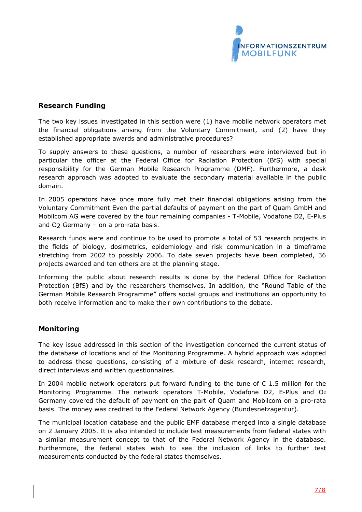

### **Research Funding**

The two key issues investigated in this section were (1) have mobile network operators met the financial obligations arising from the Voluntary Commitment, and (2) have they established appropriate awards and administrative procedures?

To supply answers to these questions, a number of researchers were interviewed but in particular the officer at the Federal Office for Radiation Protection (BfS) with special responsibility for the German Mobile Research Programme (DMF). Furthermore, a desk research approach was adopted to evaluate the secondary material available in the public domain.

In 2005 operators have once more fully met their financial obligations arising from the Voluntary Commitment Even the partial defaults of payment on the part of Quam GmbH and Mobilcom AG were covered by the four remaining companies - T-Mobile, Vodafone D2, E-Plus and  $O<sub>2</sub>$  Germany – on a pro-rata basis.

Research funds were and continue to be used to promote a total of 53 research projects in the fields of biology, dosimetrics, epidemiology and risk communication in a timeframe stretching from 2002 to possibly 2006. To date seven projects have been completed, 36 projects awarded and ten others are at the planning stage.

Informing the public about research results is done by the Federal Office for Radiation Protection (BfS) and by the researchers themselves. In addition, the "Round Table of the German Mobile Research Programme" offers social groups and institutions an opportunity to both receive information and to make their own contributions to the debate.

#### **Monitoring**

The key issue addressed in this section of the investigation concerned the current status of the database of locations and of the Monitoring Programme. A hybrid approach was adopted to address these questions, consisting of a mixture of desk research, internet research, direct interviews and written questionnaires.

In 2004 mobile network operators put forward funding to the tune of  $\epsilon$  1.5 million for the Monitoring Programme. The network operators T-Mobile, Vodafone D2, E-Plus and O2 Germany covered the default of payment on the part of Quam and Mobilcom on a pro-rata basis. The money was credited to the Federal Network Agency (*Bundesnetzagentur*).

The municipal location database and the public EMF database merged into a single database on 2 January 2005. It is also intended to include test measurements from federal states with a similar measurement concept to that of the Federal Network Agency in the database. Furthermore, the federal states wish to see the inclusion of links to further test measurements conducted by the federal states themselves.